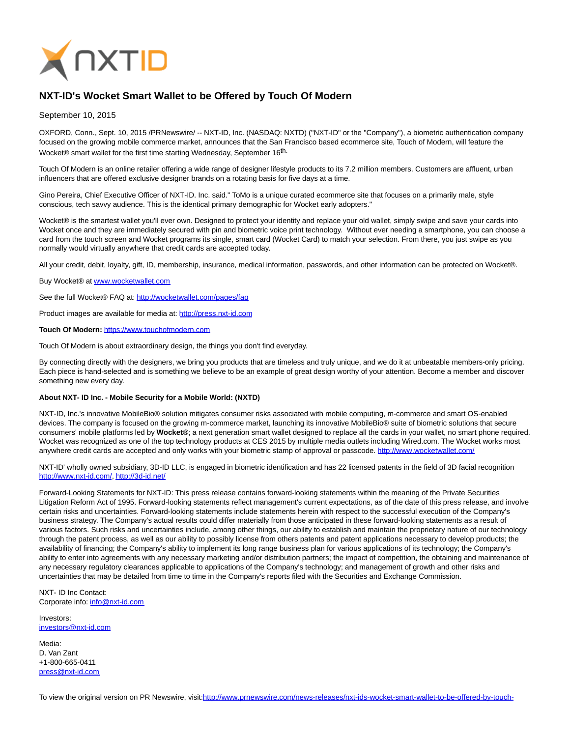

## **NXT-ID's Wocket Smart Wallet to be Offered by Touch Of Modern**

September 10, 2015

OXFORD, Conn., Sept. 10, 2015 /PRNewswire/ -- NXT-ID, Inc. (NASDAQ: NXTD) ("NXT-ID" or the "Company"), a biometric authentication company focused on the growing mobile commerce market, announces that the San Francisco based ecommerce site, Touch of Modern, will feature the Wocket® smart wallet for the first time starting Wednesday, September 16<sup>th.</sup>

Touch Of Modern is an online retailer offering a wide range of designer lifestyle products to its 7.2 million members. Customers are affluent, urban influencers that are offered exclusive designer brands on a rotating basis for five days at a time.

Gino Pereira, Chief Executive Officer of NXT-ID. Inc. said." ToMo is a unique curated ecommerce site that focuses on a primarily male, style conscious, tech savvy audience. This is the identical primary demographic for Wocket early adopters."

Wocket® is the smartest wallet you'll ever own. Designed to protect your identity and replace your old wallet, simply swipe and save your cards into Wocket once and they are immediately secured with pin and biometric voice print technology. Without ever needing a smartphone, you can choose a card from the touch screen and Wocket programs its single, smart card (Wocket Card) to match your selection. From there, you just swipe as you normally would virtually anywhere that credit cards are accepted today.

All your credit, debit, loyalty, gift, ID, membership, insurance, medical information, passwords, and other information can be protected on Wocket®.

Buy Wocket® at [www.wocketwallet.com](http://www.wocketwallet.com/)

See the full Wocket® FAQ at:<http://wocketwallet.com/pages/faq>

Product images are available for media at: [http://press.nxt-id.com](http://press.nxt-id.com/)

## **Touch Of Modern:** [https://www.touchofmodern.com](https://www.touchofmodern.com/)

Touch Of Modern is about extraordinary design, the things you don't find everyday.

By connecting directly with the designers, we bring you products that are timeless and truly unique, and we do it at unbeatable members-only pricing. Each piece is hand-selected and is something we believe to be an example of great design worthy of your attention. Become a member and discover something new every day.

## **About NXT- ID Inc. - Mobile Security for a Mobile World: (NXTD)**

NXT-ID, Inc.'s innovative MobileBio® solution mitigates consumer risks associated with mobile computing, m-commerce and smart OS-enabled devices. The company is focused on the growing m-commerce market, launching its innovative MobileBio® suite of biometric solutions that secure consumers' mobile platforms led by **Wocket®**; a next generation smart wallet designed to replace all the cards in your wallet, no smart phone required. Wocket was recognized as one of the top technology products at CES 2015 by multiple media outlets including Wired.com. The Wocket works most anywhere credit cards are accepted and only works with your biometric stamp of approval or passcode.<http://www.wocketwallet.com/>

NXT-ID' wholly owned subsidiary, 3D-ID LLC, is engaged in biometric identification and has 22 licensed patents in the field of 3D facial recognition [http://www.nxt-id.com/,](http://www.nxt-id.com/)<http://3d-id.net/>

Forward-Looking Statements for NXT-ID: This press release contains forward-looking statements within the meaning of the Private Securities Litigation Reform Act of 1995. Forward-looking statements reflect management's current expectations, as of the date of this press release, and involve certain risks and uncertainties. Forward-looking statements include statements herein with respect to the successful execution of the Company's business strategy. The Company's actual results could differ materially from those anticipated in these forward-looking statements as a result of various factors. Such risks and uncertainties include, among other things, our ability to establish and maintain the proprietary nature of our technology through the patent process, as well as our ability to possibly license from others patents and patent applications necessary to develop products; the availability of financing; the Company's ability to implement its long range business plan for various applications of its technology; the Company's ability to enter into agreements with any necessary marketing and/or distribution partners; the impact of competition, the obtaining and maintenance of any necessary regulatory clearances applicable to applications of the Company's technology; and management of growth and other risks and uncertainties that may be detailed from time to time in the Company's reports filed with the Securities and Exchange Commission.

NXT- ID Inc Contact: Corporate info: [info@nxt-id.com](mailto:info@nxt-id.com)

Investors: [investors@nxt-id.com](mailto:investors@nxt-id.com)

Media: D. Van Zant +1-800-665-0411 [press@nxt-id.com](mailto:press@nxt-id.com)

To view the original version on PR Newswire, visit[:http://www.prnewswire.com/news-releases/nxt-ids-wocket-smart-wallet-to-be-offered-by-touch-](http://www.prnewswire.com/news-releases/nxt-ids-wocket-smart-wallet-to-be-offered-by-touch-of-modern-300140688.html)